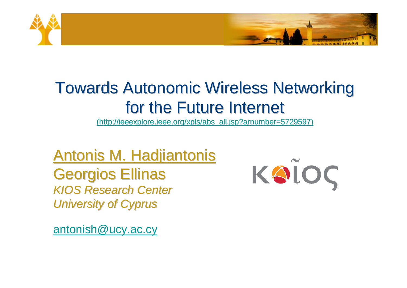

#### Towards Autonomic Wireless Networking for the Future Internet

(http://ieeexplore.ieee.org/xpls/abs\_all.jsp?arnumber=5729597)

Antonis M. Hadjiantonis Georgios Ellinas *KIOS Research Center University of Cyprus*

antonish@ucy.ac.cy

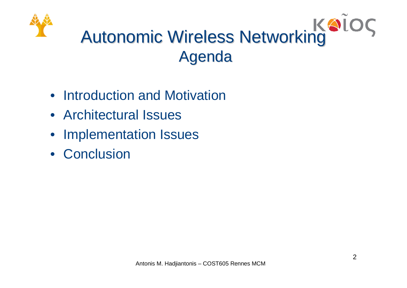## Autonomic Wireless Networking Agenda

- Introduction and Motivation
- Architectural Issues
- Implementation Issues
- Conclusion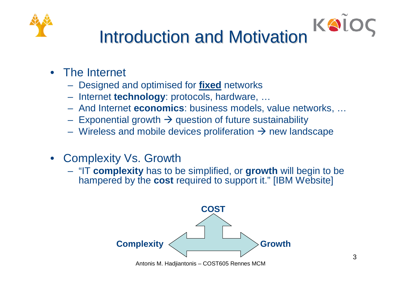

### Introduction and Motivation

- The Internet
	- Designed and optimised for **fixed** networks
	- Internet **technology**: protocols, hardware, …
	- And Internet **economics**: business models, value networks, …
	- Exponential growth  $\rightarrow$  question of future sustainability
	- Wireless and mobile devices proliferation  $\rightarrow$  new landscape
- Complexity Vs. Growth
	- "IT **complexity** has to be simplified, or **growth** will begin to be hampered by the **cost** required to support it." [IBM Website]



KOL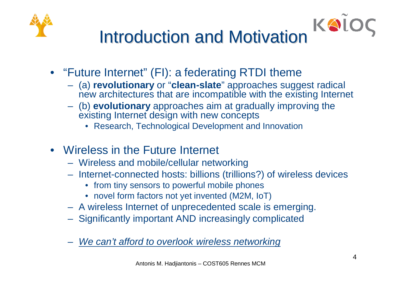



- "Future Internet" (FI): a federating RTDI theme
	- (a) **revolutionary** or "**clean-slate**" approaches suggest radical new architectures that are incompatible with the existing Internet
	- (b) **evolutionary** approaches aim at gradually improving the existing Internet design with new concepts
		- Research, Technological Development and Innovation
- Wireless in the Future Internet
	- Wireless and mobile/cellular networking
	- Internet-connected hosts: billions (trillions?) of wireless devices
		- from tiny sensors to powerful mobile phones
		- novel form factors not yet invented (M2M, IoT)
	- A wireless Internet of unprecedented scale is emerging.
	- Significantly important AND increasingly complicated
	- *We can't afford to overlook wireless networking*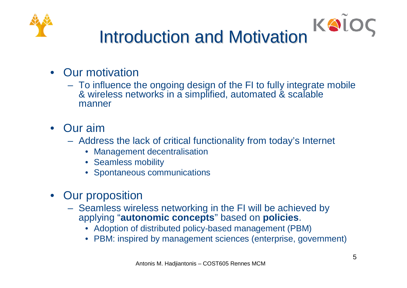

# Introduction and Motivation

- Our motivation
	- To influence the ongoing design of the FI to fully integrate mobile & wireless networks in a simplified, automated & scalable manner
- Our aim
	- Address the lack of critical functionality from today's Internet
		- Management decentralisation
		- Seamless mobility
		- Spontaneous communications
- Our proposition
	- Seamless wireless networking in the FI will be achieved by applying "**autonomic concepts**" based on **policies**.
		- Adoption of distributed policy-based management (PBM)
		- PBM: inspired by management sciences (enterprise, government)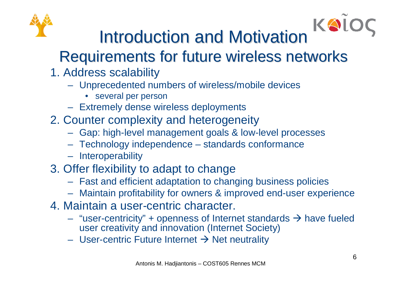

Introduction and Motivation

#### Requirements for future wireless networks

- 1. Address scalability
	- Unprecedented numbers of wireless/mobile devices
		- several per person
	- Extremely dense wireless deployments
- 2. Counter complexity and heterogeneity
	- Gap: high-level management goals & low-level processes
	- Technology independence standards conformance
	- Interoperability
- 3. Offer flexibility to adapt to change
	- Fast and efficient adaptation to changing business policies
	- Maintain profitability for owners & improved end-user experience
- 4. Maintain a user-centric character.
	- "user-centricity" + openness of Internet standards  $\rightarrow$  have fueled user creativity and innovation (Internet Society)
	- User-centric Future Internet  $\rightarrow$  Net neutrality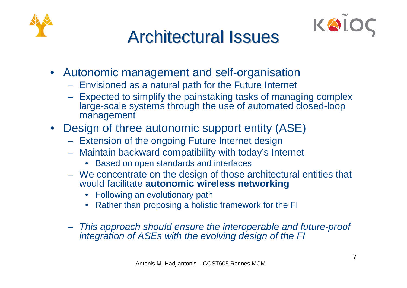



#### Architectural Issues

- Autonomic management and self-organisation
	- Envisioned as a natural path for the Future Internet
	- Expected to simplify the painstaking tasks of managing complex large-scale systems through the use of automated closed-loop management
- Design of three autonomic support entity (ASE)
	- Extension of the ongoing Future Internet design
	- Maintain backward compatibility with today's Internet
		- Based on open standards and interfaces
	- We concentrate on the design of those architectural entities that would facilitate **autonomic wireless networking**
		- Following an evolutionary path
		- Rather than proposing a holistic framework for the FI
	- *This approach should ensure the interoperable and future-proof integration of ASEs with the evolving design of the FI*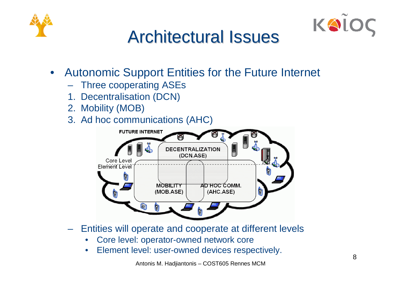



#### Architectural Issues

- Autonomic Support Entities for the Future Internet
	- Three cooperating ASEs
	- 1. Decentralisation (DCN)
	- 2. Mobility (MOB)
	- 3. Ad hoc communications (AHC)



- Entities will operate and cooperate at different levels
	- Core level: operator-owned network core
	- Element level: user-owned devices respectively.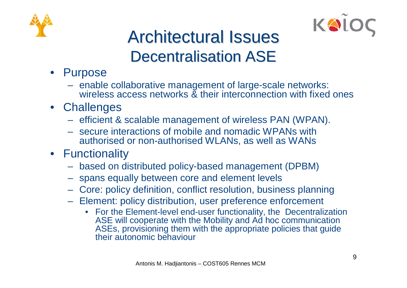



#### Architectural Issues Decentralisation ASE

- Purpose
	- enable collaborative management of large-scale networks: wireless access networks & their interconnection with fixed ones
- Challenges
	- efficient & scalable management of wireless PAN (WPAN).
	- secure interactions of mobile and nomadic WPANs with authorised or non-authorised WLANs, as well as WANs
- Functionality
	- based on distributed policy-based management (DPBM)
	- spans equally between core and element levels
	- Core: policy definition, conflict resolution, business planning
	- Element: policy distribution, user preference enforcement
		- For the Element-level end-user functionality, the Decentralization ASE will cooperate with the Mobility and Ad hoc communication ASEs, provisioning them with the appropriate policies that guide their autonomic behaviour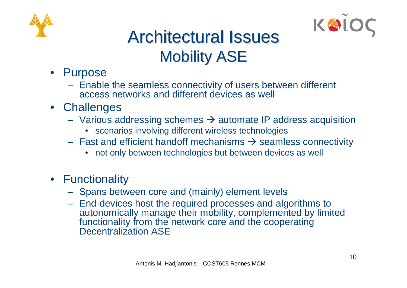



#### Architectural Issues Mobility ASE

- Purpose
	- Enable the seamless connectivity of users between different access networks and different devices as well
- Challenges
	- Various addressing schemes  $\rightarrow$  automate IP address acquisition
		- scenarios involving different wireless technologies
	- Fast and efficient handoff mechanisms  $\rightarrow$  seamless connectivity
		- not only between technologies but between devices as well
- Functionality
	- Spans between core and (mainly) element levels
	- End-devices host the required processes and algorithms to autonomically manage their mobility, complemented by limited functionality from the network core and the cooperating Decentralization ASE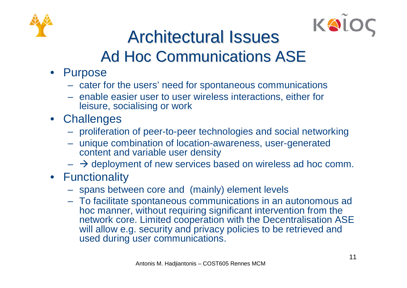



#### Architectural Issues Ad Hoc Communications ASE

- Purpose
	- cater for the users' need for spontaneous communications
	- enable easier user to user wireless interactions, either for leisure, socialising or work
- Challenges
	- proliferation of peer-to-peer technologies and social networking
	- unique combination of location-awareness, user-generated content and variable user density
	- $\rightarrow$  deployment of new services based on wireless ad hoc comm.
- Functionality
	- spans between core and (mainly) element levels
	- To facilitate spontaneous communications in an autonomous ad hoc manner, without requiring significant intervention from the network core. Limited cooperation with the Decentralisation ASE will allow e.g. security and privacy policies to be retrieved and used during user communications.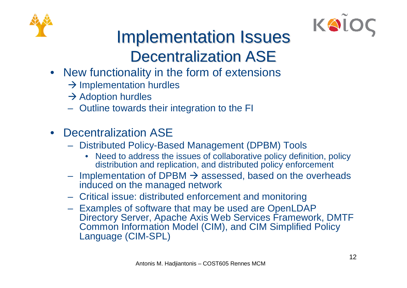



#### Implementation Issues Decentralization ASE

- New functionality in the form of extensions
	- $\rightarrow$  Implementation hurdles
	- $\rightarrow$  Adoption hurdles
	- Outline towards their integration to the FI
- Decentralization ASE
	- Distributed Policy-Based Management (DPBM) Tools
		- Need to address the issues of collaborative policy definition, policy distribution and replication, and distributed policy enforcement
	- Implementation of DPBM  $\rightarrow$  assessed, based on the overheads induced on the managed network
	- Critical issue: distributed enforcement and monitoring
	- Examples of software that may be used are OpenLDAP Directory Server, Apache Axis Web Services Framework, DMTF Common Information Model (CIM), and CIM Simplified Policy Language (CIM-SPL)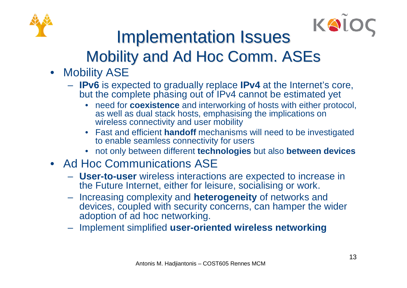



#### Implementation Issues Mobility and Ad Hoc Comm. ASEs

- Mobility ASE
	- **IPv6** is expected to gradually replace **IPv4** at the Internet's core, but the complete phasing out of IPv4 cannot be estimated yet
		- need for **coexistence** and interworking of hosts with either protocol, as well as dual stack hosts, emphasising the implications on wireless connectivity and user mobility
		- Fast and efficient **handoff** mechanisms will need to be investigated to enable seamless connectivity for users
		- not only between different **technologies** but also **between devices**
- Ad Hoc Communications ASE
	- **User-to-user** wireless interactions are expected to increase in the Future Internet, either for leisure, socialising or work.
	- Increasing complexity and **heterogeneity** of networks and devices, coupled with security concerns, can hamper the wider adoption of ad hoc networking.
	- Implement simplified **user-oriented wireless networking**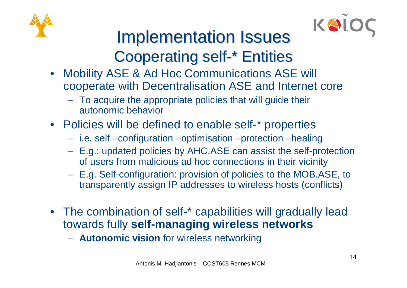



#### Implementation Issues Cooperating self-\* Entities

- Mobility ASE & Ad Hoc Communications ASE will cooperate with Decentralisation ASE and Internet core
	- To acquire the appropriate policies that will guide their autonomic behavior
- Policies will be defined to enable self-\* properties
	- i.e. self –configuration –optimisation –protection –healing
	- E.g.: updated policies by AHC.ASE can assist the self-protection of users from malicious ad hoc connections in their vicinity
	- E.g. Self-configuration: provision of policies to the MOB.ASE, to transparently assign IP addresses to wireless hosts (conflicts)
- The combination of self-\* capabilities will gradually lead towards fully **self-managing wireless networks**
	- **Autonomic vision** for wireless networking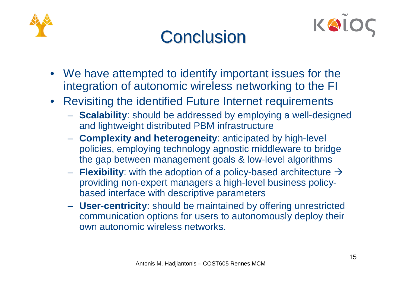



#### **Conclusion**

- We have attempted to identify important issues for the integration of autonomic wireless networking to the FI
- Revisiting the identified Future Internet requirements
	- **Scalability**: should be addressed by employing a well-designed and lightweight distributed PBM infrastructure
	- **Complexity and heterogeneity**: anticipated by high-level policies, employing technology agnostic middleware to bridge the gap between management goals & low-level algorithms
	- $-$  **Flexibility**: with the adoption of a policy-based architecture  $\rightarrow$ providing non-expert managers a high-level business policybased interface with descriptive parameters
	- **User-centricity**: should be maintained by offering unrestricted communication options for users to autonomously deploy their own autonomic wireless networks.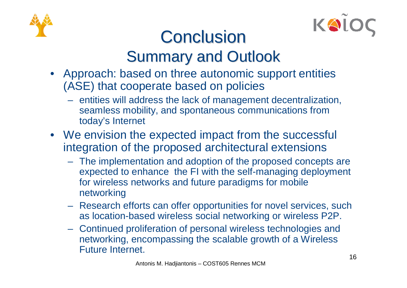



#### **Conclusion** Summary and Outlook

- Approach: based on three autonomic support entities (ASE) that cooperate based on policies
	- entities will address the lack of management decentralization, seamless mobility, and spontaneous communications from today's Internet
- We envision the expected impact from the successful integration of the proposed architectural extensions
	- The implementation and adoption of the proposed concepts are expected to enhance the FI with the self-managing deployment for wireless networks and future paradigms for mobile networking
	- Research efforts can offer opportunities for novel services, such as location-based wireless social networking or wireless P2P.
	- Continued proliferation of personal wireless technologies and networking, encompassing the scalable growth of a Wireless Future Internet.